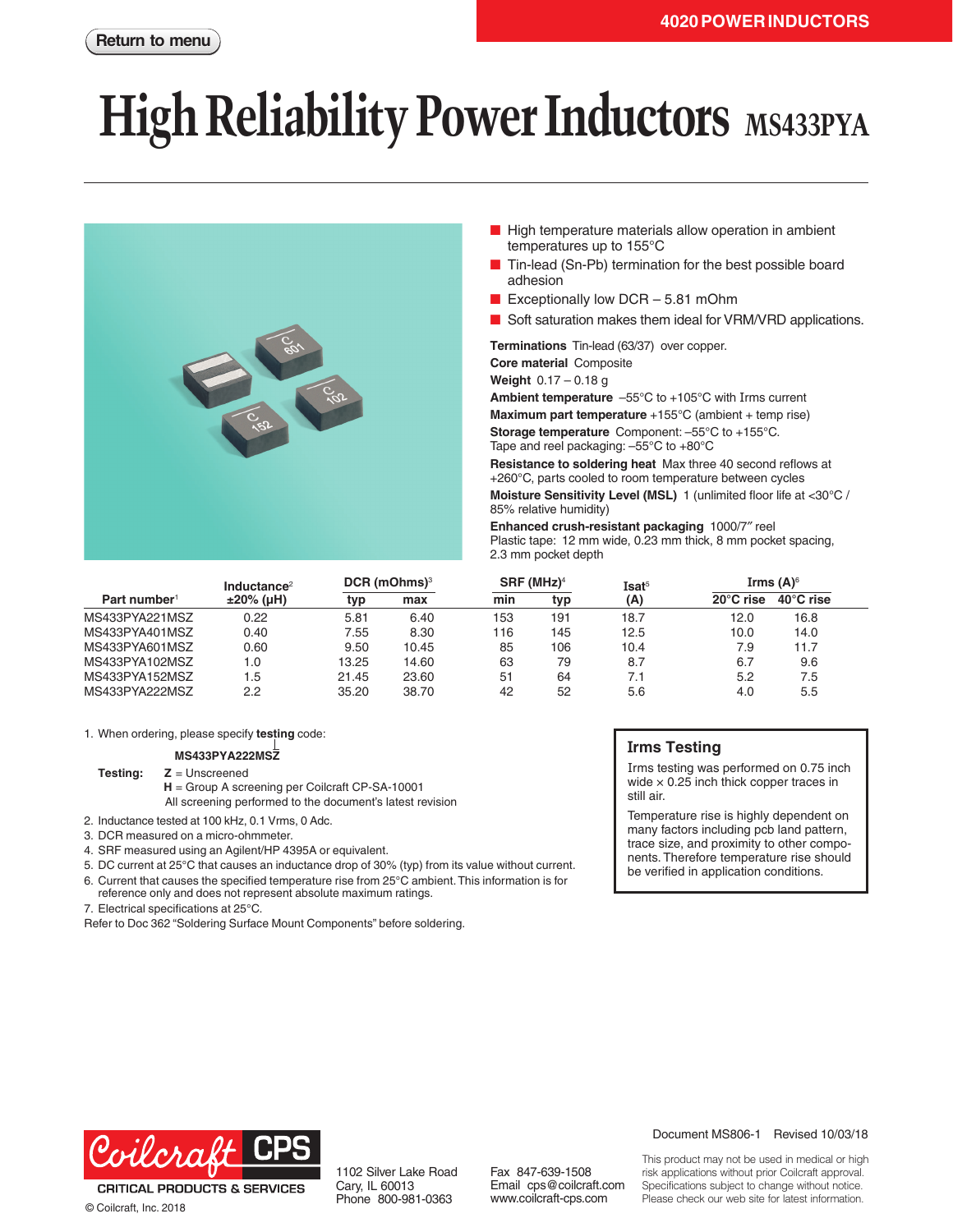# **High Reliability Power Inductors** MS433PYA



- High temperature materials allow operation in ambient temperatures up to 155°C
- Tin-lead (Sn-Pb) termination for the best possible board adhesion
- Exceptionally low DCR 5.81 mOhm
- Soft saturation makes them ideal for VRM/VRD applications.

**Terminations** Tin-lead (63/37) over copper. **Core material** Composite

**Weight** 0.17 – 0.18 g

**Ambient temperature** –55°C to +105°C with Irms current **Maximum part temperature** +155°C (ambient + temp rise) **Storage temperature** Component: –55°C to +155°C. Tape and reel packaging: –55°C to +80°C

**Resistance to soldering heat** Max three 40 second reflows at +260°C, parts cooled to room temperature between cycles **Moisture Sensitivity Level (MSL)** 1 (unlimited floor life at <30°C / 85% relative humidity)

**Enhanced crush-resistant packaging** 1000/7″ reel Plastic tape: 12 mm wide, 0.23 mm thick, 8 mm pocket spacing, 2.3 mm pocket depth

| Part number <sup>1</sup> | Inductance <sup>2</sup><br>$±20\%$ (µH) | $DCR$ (mOhms) <sup>3</sup> |       | SRF (MHz) <sup>4</sup> |     | Isat <sup>5</sup> | Irms $(A)^6$        |                     |  |
|--------------------------|-----------------------------------------|----------------------------|-------|------------------------|-----|-------------------|---------------------|---------------------|--|
|                          |                                         | typ                        | max   | min                    | typ | (A)               | $20^{\circ}$ C rise | $40^{\circ}$ C rise |  |
| MS433PYA221MSZ           | 0.22                                    | 5.81                       | 6.40  | 153                    | 191 | 18.7              | 12.0                | 16.8                |  |
| MS433PYA401MSZ           | 0.40                                    | 7.55                       | 8.30  | 116                    | 145 | 12.5              | 10.0                | 14.0                |  |
| MS433PYA601MSZ           | 0.60                                    | 9.50                       | 10.45 | 85                     | 106 | 10.4              | 7.9                 | 11.7                |  |
| MS433PYA102MSZ           | 1.0                                     | 13.25                      | 14.60 | 63                     | 79  | 8.7               | 6.7                 | 9.6                 |  |
| MS433PYA152MSZ           | 1.5                                     | 21.45                      | 23.60 | 51                     | 64  | 7.1               | 5.2                 | 7.5                 |  |
| MS433PYA222MSZ           | 2.2                                     | 35.20                      | 38.70 | 42                     | 52  | 5.6               | 4.0                 | $5.5\,$             |  |

1. When ordering, please specify **testing** code:

#### **MS433PYA222MSZ**

**Testing: Z** = Unscreened

**H** = Group A screening per Coilcraft CP-SA-10001 All screening performed to the document's latest revision

- 2. Inductance tested at 100 kHz, 0.1 Vrms, 0 Adc.
- 3. DCR measured on a micro-ohmmeter.
- 4. SRF measured using an Agilent/HP 4395A or equivalent.

5. DC current at 25°C that causes an inductance drop of 30% (typ) from its value without current.

6. Current that causes the specified temperature rise from 25°C ambient. This information is for reference only and does not represent absolute maximum ratings.

7. Electrical specifications at 25°C.

Refer to Doc 362 "Soldering Surface Mount Components" before soldering.

### **Irms Testing**

Irms testing was performed on 0.75 inch wide  $\times$  0.25 inch thick copper traces in still air.

Temperature rise is highly dependent on many factors including pcb land pattern, trace size, and proximity to other components. Therefore temperature rise should be verified in application conditions.



**CRITICAL PRODUCTS & SERVICES** © Coilcraft, Inc. 2018

1102 Silver Lake Road Cary, IL 60013 Phone 800-981-0363

Fax 847-639-1508 Email cps@coilcraft.com www.coilcraft-cps.com

Document MS806-1 Revised 10/03/18

This product may not be used in medical or high risk applications without prior Coilcraft approval. Specifications subject to change without notice. Please check our web site for latest information.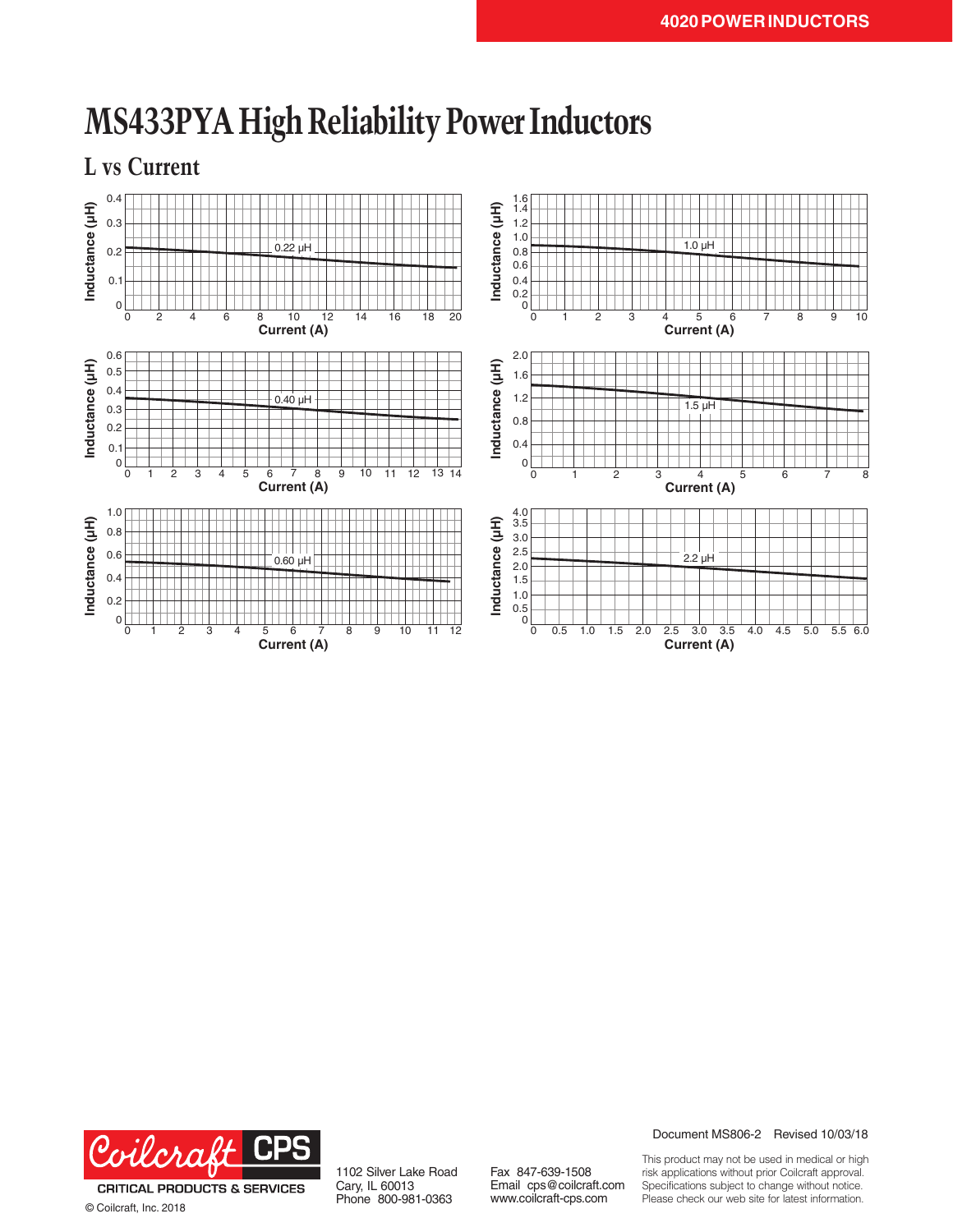

## **MS433PYA High Reliability Power Inductors**



© Coilcraft, Inc. 2018

1102 Silver Lake Road Cary, IL 60013 Phone 800-981-0363

Fax 847-639-1508 Email cps@coilcraft.com www.coilcraft-cps.com

Document MS806-2 Revised 10/03/18

This product may not be used in medical or high risk applications without prior Coilcraft approval. Specifications subject to change without notice. Please check our web site for latest information.